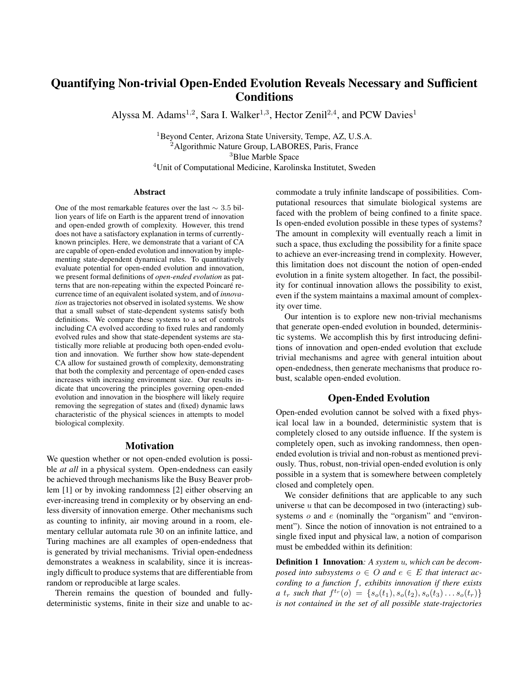# Quantifying Non-trivial Open-Ended Evolution Reveals Necessary and Sufficient **Conditions**

Alyssa M. Adams<sup>1,2</sup>, Sara I. Walker<sup>1,3</sup>, Hector Zenil<sup>2,4</sup>, and PCW Davies<sup>1</sup>

<sup>1</sup>Beyond Center, Arizona State University, Tempe, AZ, U.S.A. Algorithmic Nature Group, LABORES, Paris, France Blue Marble Space Unit of Computational Medicine, Karolinska Institutet, Sweden

#### Abstract

One of the most remarkable features over the last  $\sim 3.5$  billion years of life on Earth is the apparent trend of innovation and open-ended growth of complexity. However, this trend does not have a satisfactory explanation in terms of currentlyknown principles. Here, we demonstrate that a variant of CA are capable of open-ended evolution and innovation by implementing state-dependent dynamical rules. To quantitatively evaluate potential for open-ended evolution and innovation, we present formal definitions of *open-ended evolution* as patterns that are non-repeating within the expected Poincaré recurrence time of an equivalent isolated system, and of *innovation* as trajectories not observed in isolated systems. We show that a small subset of state-dependent systems satisfy both definitions. We compare these systems to a set of controls including CA evolved according to fixed rules and randomly evolved rules and show that state-dependent systems are statistically more reliable at producing both open-ended evolution and innovation. We further show how state-dependent CA allow for sustained growth of complexity, demonstrating that both the complexity and percentage of open-ended cases increases with increasing environment size. Our results indicate that uncovering the principles governing open-ended evolution and innovation in the biosphere will likely require removing the segregation of states and (fixed) dynamic laws characteristic of the physical sciences in attempts to model biological complexity.

## Motivation

We question whether or not open-ended evolution is possible *at all* in a physical system. Open-endedness can easily be achieved through mechanisms like the Busy Beaver problem [1] or by invoking randomness [2] either observing an ever-increasing trend in complexity or by observing an endless diversity of innovation emerge. Other mechanisms such as counting to infinity, air moving around in a room, elementary cellular automata rule 30 on an infinite lattice, and Turing machines are all examples of open-endedness that is generated by trivial mechanisms. Trivial open-endedness demonstrates a weakness in scalability, since it is increasingly difficult to produce systems that are differentiable from random or reproducible at large scales.

Therein remains the question of bounded and fullydeterministic systems, finite in their size and unable to accommodate a truly infinite landscape of possibilities. Computational resources that simulate biological systems are faced with the problem of being confined to a finite space. Is open-ended evolution possible in these types of systems? The amount in complexity will eventually reach a limit in such a space, thus excluding the possibility for a finite space to achieve an ever-increasing trend in complexity. However, this limitation does not discount the notion of open-ended evolution in a finite system altogether. In fact, the possibility for continual innovation allows the possibility to exist, even if the system maintains a maximal amount of complexity over time.

Our intention is to explore new non-trivial mechanisms that generate open-ended evolution in bounded, deterministic systems. We accomplish this by first introducing definitions of innovation and open-ended evolution that exclude trivial mechanisms and agree with general intuition about open-endedness, then generate mechanisms that produce robust, scalable open-ended evolution.

## Open-Ended Evolution

Open-ended evolution cannot be solved with a fixed physical local law in a bounded, deterministic system that is completely closed to any outside influence. If the system is completely open, such as invoking randomness, then openended evolution is trivial and non-robust as mentioned previously. Thus, robust, non-trivial open-ended evolution is only possible in a system that is somewhere between completely closed and completely open.

We consider definitions that are applicable to any such universe *u* that can be decomposed in two (interacting) subsystems *o* and *e* (nominally the "organism" and "environment"). Since the notion of innovation is not entrained to a single fixed input and physical law, a notion of comparison must be embedded within its definition:

Definition 1 Innovation*: A system u, which can be decomposed into subsystems*  $o \in O$  *and*  $e \in E$  *that interact according to a function f, exhibits innovation if there exists a t<sub>r</sub> such that*  $f^{t_r}(o) = \{s_o(t_1), s_o(t_2), s_o(t_3), \ldots s_o(t_r)\}$ *is not contained in the set of all possible state-trajectories*